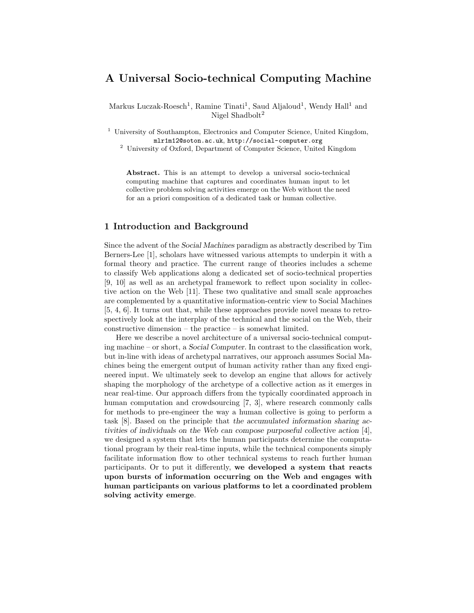# A Universal Socio-technical Computing Machine

Markus Luczak-Roesch<sup>1</sup>, Ramine Tinati<sup>1</sup>, Saud Aljaloud<sup>1</sup>, Wendy Hall<sup>1</sup> and Nigel Shadbolt<sup>2</sup>

<sup>1</sup> University of Southampton, Electronics and Computer Science, United Kingdom, mlr1m12@soton.ac.uk, http://social-computer.org

<sup>2</sup> University of Oxford, Department of Computer Science, United Kingdom

Abstract. This is an attempt to develop a universal socio-technical computing machine that captures and coordinates human input to let collective problem solving activities emerge on the Web without the need for an a priori composition of a dedicated task or human collective.

# 1 Introduction and Background

Since the advent of the Social Machines paradigm as abstractly described by Tim Berners-Lee [1], scholars have witnessed various attempts to underpin it with a formal theory and practice. The current range of theories includes a scheme to classify Web applications along a dedicated set of socio-technical properties [9, 10] as well as an archetypal framework to reflect upon sociality in collective action on the Web [11]. These two qualitative and small scale approaches are complemented by a quantitative information-centric view to Social Machines [5, 4, 6]. It turns out that, while these approaches provide novel means to retrospectively look at the interplay of the technical and the social on the Web, their constructive dimension – the practice – is somewhat limited.

Here we describe a novel architecture of a universal socio-technical computing machine – or short, a Social Computer. In contrast to the classification work, but in-line with ideas of archetypal narratives, our approach assumes Social Machines being the emergent output of human activity rather than any fixed engineered input. We ultimately seek to develop an engine that allows for actively shaping the morphology of the archetype of a collective action as it emerges in near real-time. Our approach differs from the typically coordinated approach in human computation and crowdsourcing [7, 3], where research commonly calls for methods to pre-engineer the way a human collective is going to perform a task [8]. Based on the principle that the accumulated information sharing activities of individuals on the Web can compose purposeful collective action [4], we designed a system that lets the human participants determine the computational program by their real-time inputs, while the technical components simply facilitate information flow to other technical systems to reach further human participants. Or to put it differently, we developed a system that reacts upon bursts of information occurring on the Web and engages with human participants on various platforms to let a coordinated problem solving activity emerge.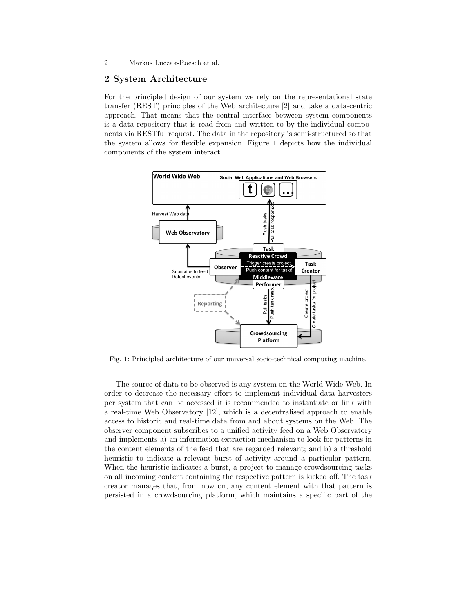2 Markus Luczak-Roesch et al.

#### 2 System Architecture

For the principled design of our system we rely on the representational state transfer (REST) principles of the Web architecture [2] and take a data-centric approach. That means that the central interface between system components is a data repository that is read from and written to by the individual components via RESTful request. The data in the repository is semi-structured so that the system allows for flexible expansion. Figure 1 depicts how the individual components of the system interact.



Fig. 1: Principled architecture of our universal socio-technical computing machine.

The source of data to be observed is any system on the World Wide Web. In order to decrease the necessary effort to implement individual data harvesters per system that can be accessed it is recommended to instantiate or link with a real-time Web Observatory [12], which is a decentralised approach to enable access to historic and real-time data from and about systems on the Web. The observer component subscribes to a unified activity feed on a Web Observatory and implements a) an information extraction mechanism to look for patterns in the content elements of the feed that are regarded relevant; and b) a threshold heuristic to indicate a relevant burst of activity around a particular pattern. When the heuristic indicates a burst, a project to manage crowdsourcing tasks on all incoming content containing the respective pattern is kicked off. The task creator manages that, from now on, any content element with that pattern is persisted in a crowdsourcing platform, which maintains a specific part of the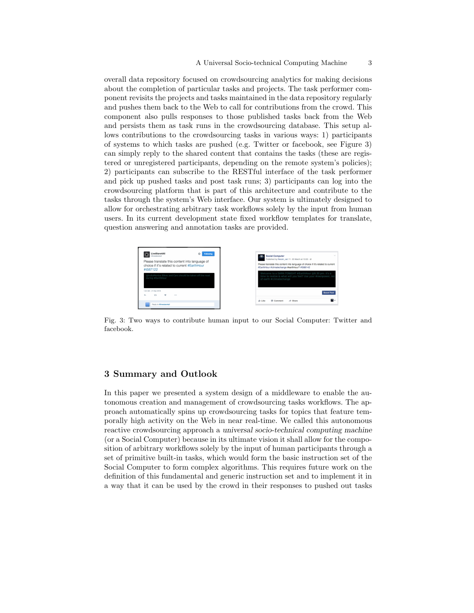overall data repository focused on crowdsourcing analytics for making decisions about the completion of particular tasks and projects. The task performer component revisits the projects and tasks maintained in the data repository regularly and pushes them back to the Web to call for contributions from the crowd. This component also pulls responses to those published tasks back from the Web and persists them as task runs in the crowdsourcing database. This setup allows contributions to the crowdsourcing tasks in various ways: 1) participants of systems to which tasks are pushed (e.g. Twitter or facebook, see Figure 3) can simply reply to the shared content that contains the tasks (these are registered or unregistered participants, depending on the remote system's policies); 2) participants can subscribe to the RESTful interface of the task performer and pick up pushed tasks and post task runs; 3) participants can log into the crowdsourcing platform that is part of this architecture and contribute to the tasks through the system's Web interface. Our system is ultimately designed to allow for orchestrating arbitrary task workflows solely by the input from human users. In its current development state fixed workflow templates for translate, question answering and annotation tasks are provided.



Fig. 3: Two ways to contribute human input to our Social Computer: Twitter and facebook.

## 3 Summary and Outlook

In this paper we presented a system design of a middleware to enable the autonomous creation and management of crowdsourcing tasks workflows. The approach automatically spins up crowdsourcing tasks for topics that feature temporally high activity on the Web in near real-time. We called this autonomous reactive crowdsourcing approach a universal socio-technical computing machine (or a Social Computer) because in its ultimate vision it shall allow for the composition of arbitrary workflows solely by the input of human participants through a set of primitive built-in tasks, which would form the basic instruction set of the Social Computer to form complex algorithms. This requires future work on the definition of this fundamental and generic instruction set and to implement it in a way that it can be used by the crowd in their responses to pushed out tasks